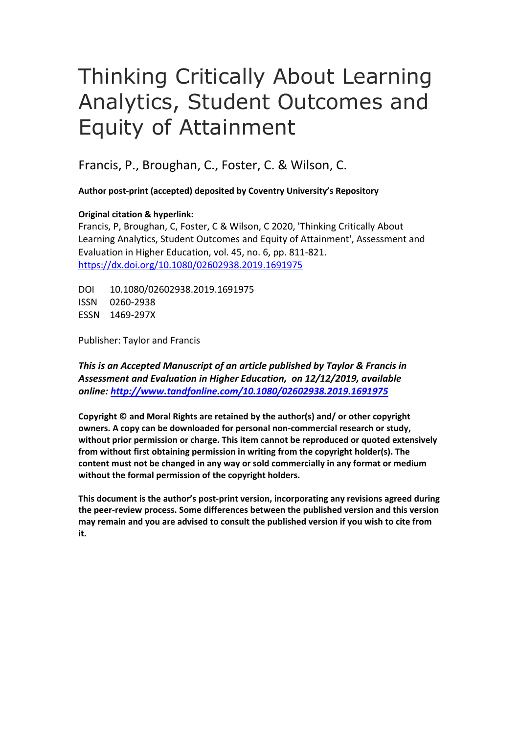# Thinking Critically About Learning Analytics, Student Outcomes and Equity of Attainment

Francis, P., Broughan, C., Foster, C. & Wilson, C.

**Author post-print (accepted) deposited by Coventry University's Repository**

# **Original citation & hyperlink:**

Francis, P, Broughan, C, Foster, C & Wilson, C 2020, 'Thinking Critically About Learning Analytics, Student Outcomes and Equity of Attainment', Assessment and Evaluation in Higher Education, vol. 45, no. 6, pp. 811-821. [https://dx.doi.org/1](https://dx.doi.org/)0.1080/02602938.2019.1691975

DOI 10.1080/02602938.2019.1691975 ISSN 0260-2938 ESSN 1469-297X

Publisher: Taylor and Francis

*This is an Accepted Manuscript of an article published by Taylor & Francis in Assessment and Evaluation in Higher Education, on 12/12/2019, available online: [http://www.tandfonline.com/1](http://www.tandfonline.com/)0.1080/02602938.2019.1691975*

**Copyright © and Moral Rights are retained by the author(s) and/ or other copyright owners. A copy can be downloaded for personal non-commercial research or study, without prior permission or charge. This item cannot be reproduced or quoted extensively from without first obtaining permission in writing from the copyright holder(s). The content must not be changed in any way or sold commercially in any format or medium without the formal permission of the copyright holders.** 

**This document is the author's post-print version, incorporating any revisions agreed during the peer-review process. Some differences between the published version and this version may remain and you are advised to consult the published version if you wish to cite from it.**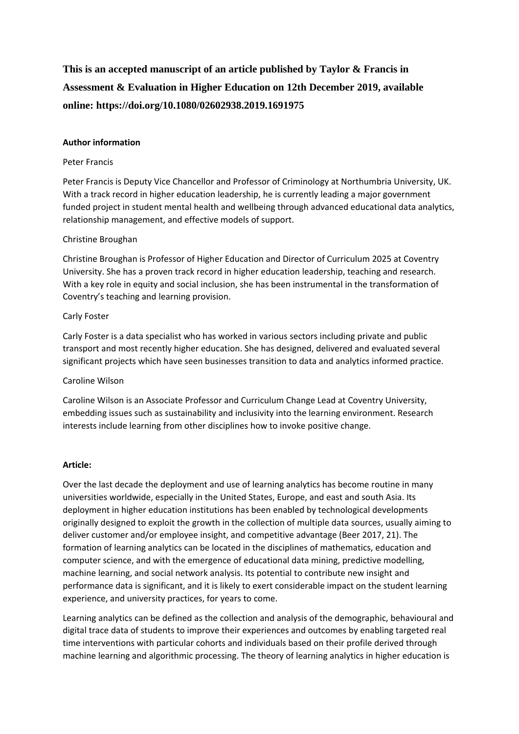# **This is an accepted manuscript of an article published by Taylor & Francis in Assessment & Evaluation in Higher Education on 12th December 2019, available online: https://doi.org/10.1080/02602938.2019.1691975**

#### **Author information**

#### Peter Francis

Peter Francis is Deputy Vice Chancellor and Professor of Criminology at Northumbria University, UK. With a track record in higher education leadership, he is currently leading a major government funded project in student mental health and wellbeing through advanced educational data analytics, relationship management, and effective models of support.

## Christine Broughan

Christine Broughan is Professor of Higher Education and Director of Curriculum 2025 at Coventry University. She has a proven track record in higher education leadership, teaching and research. With a key role in equity and social inclusion, she has been instrumental in the transformation of Coventry's teaching and learning provision.

#### Carly Foster

Carly Foster is a data specialist who has worked in various sectors including private and public transport and most recently higher education. She has designed, delivered and evaluated several significant projects which have seen businesses transition to data and analytics informed practice.

#### Caroline Wilson

Caroline Wilson is an Associate Professor and Curriculum Change Lead at Coventry University, embedding issues such as sustainability and inclusivity into the learning environment. Research interests include learning from other disciplines how to invoke positive change.

#### **Article:**

Over the last decade the deployment and use of learning analytics has become routine in many universities worldwide, especially in the United States, Europe, and east and south Asia. Its deployment in higher education institutions has been enabled by technological developments originally designed to exploit the growth in the collection of multiple data sources, usually aiming to deliver customer and/or employee insight, and competitive advantage (Beer 2017, 21). The formation of learning analytics can be located in the disciplines of mathematics, education and computer science, and with the emergence of educational data mining, predictive modelling, machine learning, and social network analysis. Its potential to contribute new insight and performance data is significant, and it is likely to exert considerable impact on the student learning experience, and university practices, for years to come.

Learning analytics can be defined as the collection and analysis of the demographic, behavioural and digital trace data of students to improve their experiences and outcomes by enabling targeted real time interventions with particular cohorts and individuals based on their profile derived through machine learning and algorithmic processing. The theory of learning analytics in higher education is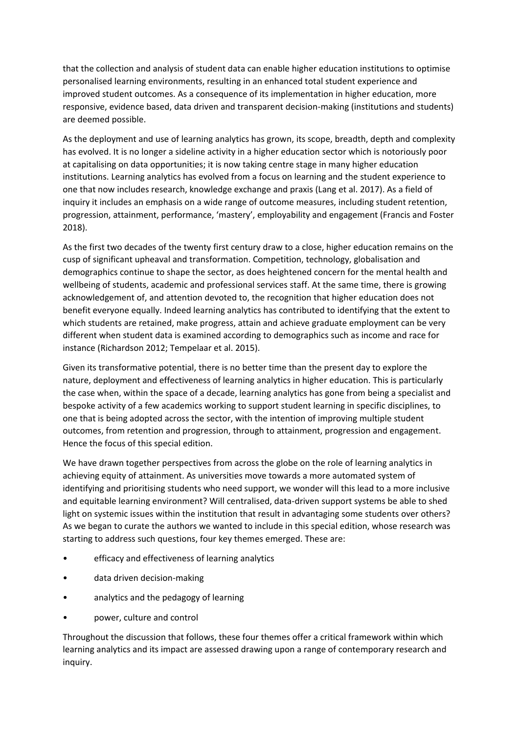that the collection and analysis of student data can enable higher education institutions to optimise personalised learning environments, resulting in an enhanced total student experience and improved student outcomes. As a consequence of its implementation in higher education, more responsive, evidence based, data driven and transparent decision-making (institutions and students) are deemed possible.

As the deployment and use of learning analytics has grown, its scope, breadth, depth and complexity has evolved. It is no longer a sideline activity in a higher education sector which is notoriously poor at capitalising on data opportunities; it is now taking centre stage in many higher education institutions. Learning analytics has evolved from a focus on learning and the student experience to one that now includes research, knowledge exchange and praxis (Lang et al. 2017). As a field of inquiry it includes an emphasis on a wide range of outcome measures, including student retention, progression, attainment, performance, 'mastery', employability and engagement (Francis and Foster 2018).

As the first two decades of the twenty first century draw to a close, higher education remains on the cusp of significant upheaval and transformation. Competition, technology, globalisation and demographics continue to shape the sector, as does heightened concern for the mental health and wellbeing of students, academic and professional services staff. At the same time, there is growing acknowledgement of, and attention devoted to, the recognition that higher education does not benefit everyone equally. Indeed learning analytics has contributed to identifying that the extent to which students are retained, make progress, attain and achieve graduate employment can be very different when student data is examined according to demographics such as income and race for instance (Richardson 2012; Tempelaar et al. 2015).

Given its transformative potential, there is no better time than the present day to explore the nature, deployment and effectiveness of learning analytics in higher education. This is particularly the case when, within the space of a decade, learning analytics has gone from being a specialist and bespoke activity of a few academics working to support student learning in specific disciplines, to one that is being adopted across the sector, with the intention of improving multiple student outcomes, from retention and progression, through to attainment, progression and engagement. Hence the focus of this special edition.

We have drawn together perspectives from across the globe on the role of learning analytics in achieving equity of attainment. As universities move towards a more automated system of identifying and prioritising students who need support, we wonder will this lead to a more inclusive and equitable learning environment? Will centralised, data-driven support systems be able to shed light on systemic issues within the institution that result in advantaging some students over others? As we began to curate the authors we wanted to include in this special edition, whose research was starting to address such questions, four key themes emerged. These are:

- efficacy and effectiveness of learning analytics
- data driven decision-making
- analytics and the pedagogy of learning
- power, culture and control

Throughout the discussion that follows, these four themes offer a critical framework within which learning analytics and its impact are assessed drawing upon a range of contemporary research and inquiry.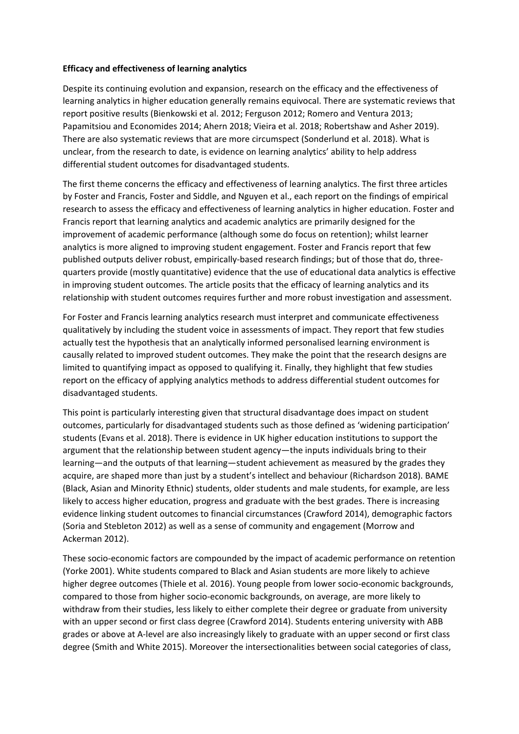#### **Efficacy and effectiveness of learning analytics**

Despite its continuing evolution and expansion, research on the efficacy and the effectiveness of learning analytics in higher education generally remains equivocal. There are systematic reviews that report positive results (Bienkowski et al. 2012; Ferguson 2012; Romero and Ventura 2013; Papamitsiou and Economides 2014; Ahern 2018; Vieira et al. 2018; Robertshaw and Asher 2019). There are also systematic reviews that are more circumspect (Sonderlund et al. 2018). What is unclear, from the research to date, is evidence on learning analytics' ability to help address differential student outcomes for disadvantaged students.

The first theme concerns the efficacy and effectiveness of learning analytics. The first three articles by Foster and Francis, Foster and Siddle, and Nguyen et al., each report on the findings of empirical research to assess the efficacy and effectiveness of learning analytics in higher education. Foster and Francis report that learning analytics and academic analytics are primarily designed for the improvement of academic performance (although some do focus on retention); whilst learner analytics is more aligned to improving student engagement. Foster and Francis report that few published outputs deliver robust, empirically-based research findings; but of those that do, threequarters provide (mostly quantitative) evidence that the use of educational data analytics is effective in improving student outcomes. The article posits that the efficacy of learning analytics and its relationship with student outcomes requires further and more robust investigation and assessment.

For Foster and Francis learning analytics research must interpret and communicate effectiveness qualitatively by including the student voice in assessments of impact. They report that few studies actually test the hypothesis that an analytically informed personalised learning environment is causally related to improved student outcomes. They make the point that the research designs are limited to quantifying impact as opposed to qualifying it. Finally, they highlight that few studies report on the efficacy of applying analytics methods to address differential student outcomes for disadvantaged students.

This point is particularly interesting given that structural disadvantage does impact on student outcomes, particularly for disadvantaged students such as those defined as 'widening participation' students (Evans et al. 2018). There is evidence in UK higher education institutions to support the argument that the relationship between student agency—the inputs individuals bring to their learning—and the outputs of that learning—student achievement as measured by the grades they acquire, are shaped more than just by a student's intellect and behaviour (Richardson 2018). BAME (Black, Asian and Minority Ethnic) students, older students and male students, for example, are less likely to access higher education, progress and graduate with the best grades. There is increasing evidence linking student outcomes to financial circumstances (Crawford 2014), demographic factors (Soria and Stebleton 2012) as well as a sense of community and engagement (Morrow and Ackerman 2012).

These socio-economic factors are compounded by the impact of academic performance on retention (Yorke 2001). White students compared to Black and Asian students are more likely to achieve higher degree outcomes (Thiele et al. 2016). Young people from lower socio-economic backgrounds, compared to those from higher socio-economic backgrounds, on average, are more likely to withdraw from their studies, less likely to either complete their degree or graduate from university with an upper second or first class degree (Crawford 2014). Students entering university with ABB grades or above at A-level are also increasingly likely to graduate with an upper second or first class degree (Smith and White 2015). Moreover the intersectionalities between social categories of class,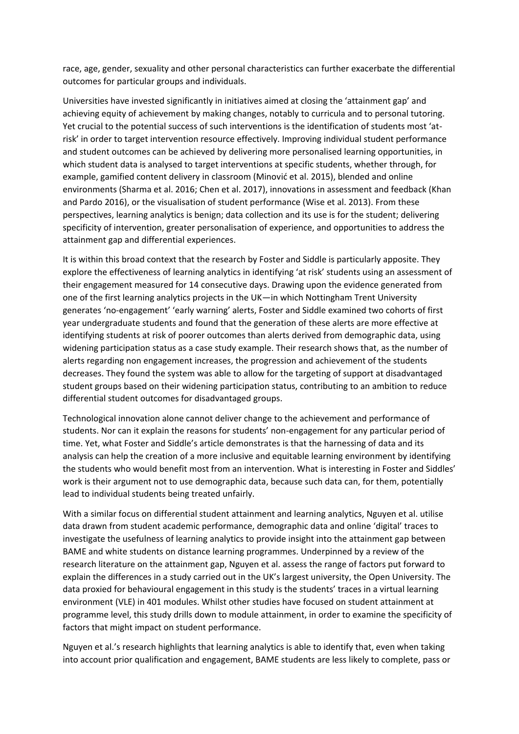race, age, gender, sexuality and other personal characteristics can further exacerbate the differential outcomes for particular groups and individuals.

Universities have invested significantly in initiatives aimed at closing the 'attainment gap' and achieving equity of achievement by making changes, notably to curricula and to personal tutoring. Yet crucial to the potential success of such interventions is the identification of students most 'atrisk' in order to target intervention resource effectively. Improving individual student performance and student outcomes can be achieved by delivering more personalised learning opportunities, in which student data is analysed to target interventions at specific students, whether through, for example, gamified content delivery in classroom (Minović et al. 2015), blended and online environments (Sharma et al. 2016; Chen et al. 2017), innovations in assessment and feedback (Khan and Pardo 2016), or the visualisation of student performance (Wise et al. 2013). From these perspectives, learning analytics is benign; data collection and its use is for the student; delivering specificity of intervention, greater personalisation of experience, and opportunities to address the attainment gap and differential experiences.

It is within this broad context that the research by Foster and Siddle is particularly apposite. They explore the effectiveness of learning analytics in identifying 'at risk' students using an assessment of their engagement measured for 14 consecutive days. Drawing upon the evidence generated from one of the first learning analytics projects in the UK—in which Nottingham Trent University generates 'no-engagement' 'early warning' alerts, Foster and Siddle examined two cohorts of first year undergraduate students and found that the generation of these alerts are more effective at identifying students at risk of poorer outcomes than alerts derived from demographic data, using widening participation status as a case study example. Their research shows that, as the number of alerts regarding non engagement increases, the progression and achievement of the students decreases. They found the system was able to allow for the targeting of support at disadvantaged student groups based on their widening participation status, contributing to an ambition to reduce differential student outcomes for disadvantaged groups.

Technological innovation alone cannot deliver change to the achievement and performance of students. Nor can it explain the reasons for students' non-engagement for any particular period of time. Yet, what Foster and Siddle's article demonstrates is that the harnessing of data and its analysis can help the creation of a more inclusive and equitable learning environment by identifying the students who would benefit most from an intervention. What is interesting in Foster and Siddles' work is their argument not to use demographic data, because such data can, for them, potentially lead to individual students being treated unfairly.

With a similar focus on differential student attainment and learning analytics, Nguyen et al. utilise data drawn from student academic performance, demographic data and online 'digital' traces to investigate the usefulness of learning analytics to provide insight into the attainment gap between BAME and white students on distance learning programmes. Underpinned by a review of the research literature on the attainment gap, Nguyen et al. assess the range of factors put forward to explain the differences in a study carried out in the UK's largest university, the Open University. The data proxied for behavioural engagement in this study is the students' traces in a virtual learning environment (VLE) in 401 modules. Whilst other studies have focused on student attainment at programme level, this study drills down to module attainment, in order to examine the specificity of factors that might impact on student performance.

Nguyen et al.'s research highlights that learning analytics is able to identify that, even when taking into account prior qualification and engagement, BAME students are less likely to complete, pass or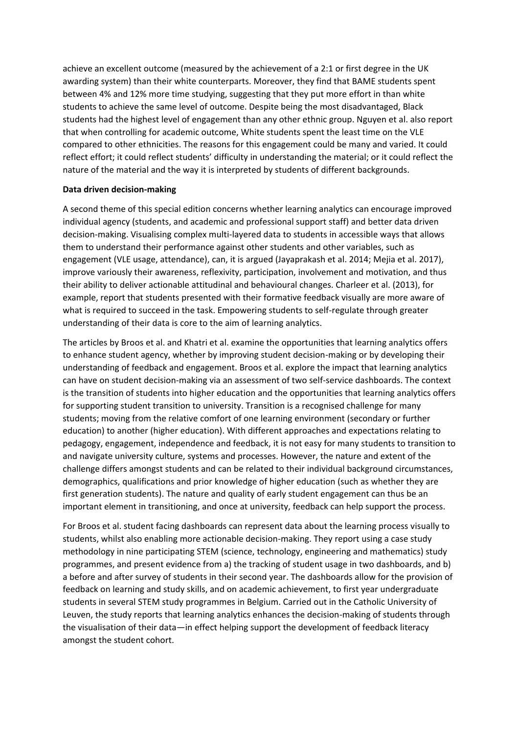achieve an excellent outcome (measured by the achievement of a 2:1 or first degree in the UK awarding system) than their white counterparts. Moreover, they find that BAME students spent between 4% and 12% more time studying, suggesting that they put more effort in than white students to achieve the same level of outcome. Despite being the most disadvantaged, Black students had the highest level of engagement than any other ethnic group. Nguyen et al. also report that when controlling for academic outcome, White students spent the least time on the VLE compared to other ethnicities. The reasons for this engagement could be many and varied. It could reflect effort; it could reflect students' difficulty in understanding the material; or it could reflect the nature of the material and the way it is interpreted by students of different backgrounds.

## **Data driven decision-making**

A second theme of this special edition concerns whether learning analytics can encourage improved individual agency (students, and academic and professional support staff) and better data driven decision-making. Visualising complex multi-layered data to students in accessible ways that allows them to understand their performance against other students and other variables, such as engagement (VLE usage, attendance), can, it is argued (Jayaprakash et al. 2014; Mejia et al. 2017), improve variously their awareness, reflexivity, participation, involvement and motivation, and thus their ability to deliver actionable attitudinal and behavioural changes. Charleer et al. (2013), for example, report that students presented with their formative feedback visually are more aware of what is required to succeed in the task. Empowering students to self-regulate through greater understanding of their data is core to the aim of learning analytics.

The articles by Broos et al. and Khatri et al. examine the opportunities that learning analytics offers to enhance student agency, whether by improving student decision-making or by developing their understanding of feedback and engagement. Broos et al. explore the impact that learning analytics can have on student decision-making via an assessment of two self-service dashboards. The context is the transition of students into higher education and the opportunities that learning analytics offers for supporting student transition to university. Transition is a recognised challenge for many students; moving from the relative comfort of one learning environment (secondary or further education) to another (higher education). With different approaches and expectations relating to pedagogy, engagement, independence and feedback, it is not easy for many students to transition to and navigate university culture, systems and processes. However, the nature and extent of the challenge differs amongst students and can be related to their individual background circumstances, demographics, qualifications and prior knowledge of higher education (such as whether they are first generation students). The nature and quality of early student engagement can thus be an important element in transitioning, and once at university, feedback can help support the process.

For Broos et al. student facing dashboards can represent data about the learning process visually to students, whilst also enabling more actionable decision-making. They report using a case study methodology in nine participating STEM (science, technology, engineering and mathematics) study programmes, and present evidence from a) the tracking of student usage in two dashboards, and b) a before and after survey of students in their second year. The dashboards allow for the provision of feedback on learning and study skills, and on academic achievement, to first year undergraduate students in several STEM study programmes in Belgium. Carried out in the Catholic University of Leuven, the study reports that learning analytics enhances the decision-making of students through the visualisation of their data—in effect helping support the development of feedback literacy amongst the student cohort.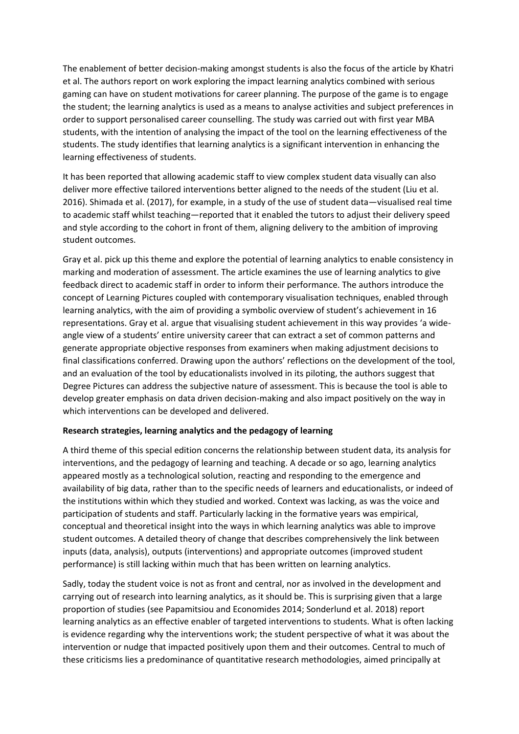The enablement of better decision-making amongst students is also the focus of the article by Khatri et al. The authors report on work exploring the impact learning analytics combined with serious gaming can have on student motivations for career planning. The purpose of the game is to engage the student; the learning analytics is used as a means to analyse activities and subject preferences in order to support personalised career counselling. The study was carried out with first year MBA students, with the intention of analysing the impact of the tool on the learning effectiveness of the students. The study identifies that learning analytics is a significant intervention in enhancing the learning effectiveness of students.

It has been reported that allowing academic staff to view complex student data visually can also deliver more effective tailored interventions better aligned to the needs of the student (Liu et al. 2016). Shimada et al. (2017), for example, in a study of the use of student data—visualised real time to academic staff whilst teaching—reported that it enabled the tutors to adjust their delivery speed and style according to the cohort in front of them, aligning delivery to the ambition of improving student outcomes.

Gray et al. pick up this theme and explore the potential of learning analytics to enable consistency in marking and moderation of assessment. The article examines the use of learning analytics to give feedback direct to academic staff in order to inform their performance. The authors introduce the concept of Learning Pictures coupled with contemporary visualisation techniques, enabled through learning analytics, with the aim of providing a symbolic overview of student's achievement in 16 representations. Gray et al. argue that visualising student achievement in this way provides 'a wideangle view of a students' entire university career that can extract a set of common patterns and generate appropriate objective responses from examiners when making adjustment decisions to final classifications conferred. Drawing upon the authors' reflections on the development of the tool, and an evaluation of the tool by educationalists involved in its piloting, the authors suggest that Degree Pictures can address the subjective nature of assessment. This is because the tool is able to develop greater emphasis on data driven decision-making and also impact positively on the way in which interventions can be developed and delivered.

#### **Research strategies, learning analytics and the pedagogy of learning**

A third theme of this special edition concerns the relationship between student data, its analysis for interventions, and the pedagogy of learning and teaching. A decade or so ago, learning analytics appeared mostly as a technological solution, reacting and responding to the emergence and availability of big data, rather than to the specific needs of learners and educationalists, or indeed of the institutions within which they studied and worked. Context was lacking, as was the voice and participation of students and staff. Particularly lacking in the formative years was empirical, conceptual and theoretical insight into the ways in which learning analytics was able to improve student outcomes. A detailed theory of change that describes comprehensively the link between inputs (data, analysis), outputs (interventions) and appropriate outcomes (improved student performance) is still lacking within much that has been written on learning analytics.

Sadly, today the student voice is not as front and central, nor as involved in the development and carrying out of research into learning analytics, as it should be. This is surprising given that a large proportion of studies (see Papamitsiou and Economides 2014; Sonderlund et al. 2018) report learning analytics as an effective enabler of targeted interventions to students. What is often lacking is evidence regarding why the interventions work; the student perspective of what it was about the intervention or nudge that impacted positively upon them and their outcomes. Central to much of these criticisms lies a predominance of quantitative research methodologies, aimed principally at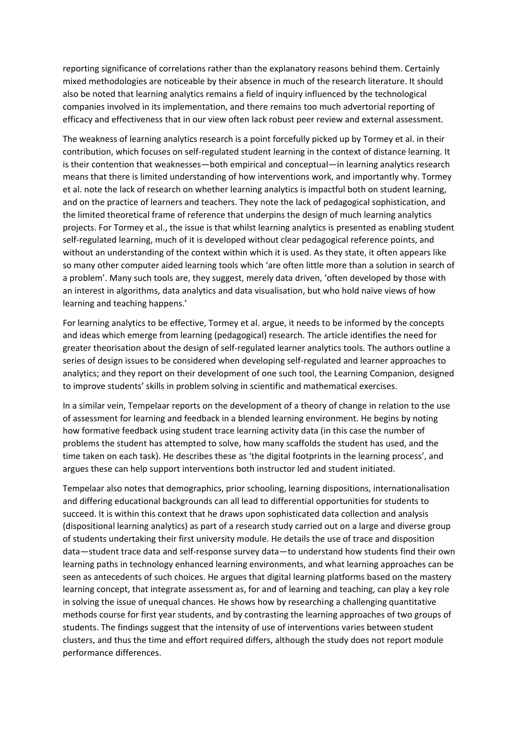reporting significance of correlations rather than the explanatory reasons behind them. Certainly mixed methodologies are noticeable by their absence in much of the research literature. It should also be noted that learning analytics remains a field of inquiry influenced by the technological companies involved in its implementation, and there remains too much advertorial reporting of efficacy and effectiveness that in our view often lack robust peer review and external assessment.

The weakness of learning analytics research is a point forcefully picked up by Tormey et al. in their contribution, which focuses on self-regulated student learning in the context of distance learning. It is their contention that weaknesses—both empirical and conceptual—in learning analytics research means that there is limited understanding of how interventions work, and importantly why. Tormey et al. note the lack of research on whether learning analytics is impactful both on student learning, and on the practice of learners and teachers. They note the lack of pedagogical sophistication, and the limited theoretical frame of reference that underpins the design of much learning analytics projects. For Tormey et al., the issue is that whilst learning analytics is presented as enabling student self-regulated learning, much of it is developed without clear pedagogical reference points, and without an understanding of the context within which it is used. As they state, it often appears like so many other computer aided learning tools which 'are often little more than a solution in search of a problem'. Many such tools are, they suggest, merely data driven, 'often developed by those with an interest in algorithms, data analytics and data visualisation, but who hold naïve views of how learning and teaching happens.'

For learning analytics to be effective, Tormey et al. argue, it needs to be informed by the concepts and ideas which emerge from learning (pedagogical) research. The article identifies the need for greater theorisation about the design of self-regulated learner analytics tools. The authors outline a series of design issues to be considered when developing self-regulated and learner approaches to analytics; and they report on their development of one such tool, the Learning Companion, designed to improve students' skills in problem solving in scientific and mathematical exercises.

In a similar vein, Tempelaar reports on the development of a theory of change in relation to the use of assessment for learning and feedback in a blended learning environment. He begins by noting how formative feedback using student trace learning activity data (in this case the number of problems the student has attempted to solve, how many scaffolds the student has used, and the time taken on each task). He describes these as 'the digital footprints in the learning process', and argues these can help support interventions both instructor led and student initiated.

Tempelaar also notes that demographics, prior schooling, learning dispositions, internationalisation and differing educational backgrounds can all lead to differential opportunities for students to succeed. It is within this context that he draws upon sophisticated data collection and analysis (dispositional learning analytics) as part of a research study carried out on a large and diverse group of students undertaking their first university module. He details the use of trace and disposition data—student trace data and self-response survey data—to understand how students find their own learning paths in technology enhanced learning environments, and what learning approaches can be seen as antecedents of such choices. He argues that digital learning platforms based on the mastery learning concept, that integrate assessment as, for and of learning and teaching, can play a key role in solving the issue of unequal chances. He shows how by researching a challenging quantitative methods course for first year students, and by contrasting the learning approaches of two groups of students. The findings suggest that the intensity of use of interventions varies between student clusters, and thus the time and effort required differs, although the study does not report module performance differences.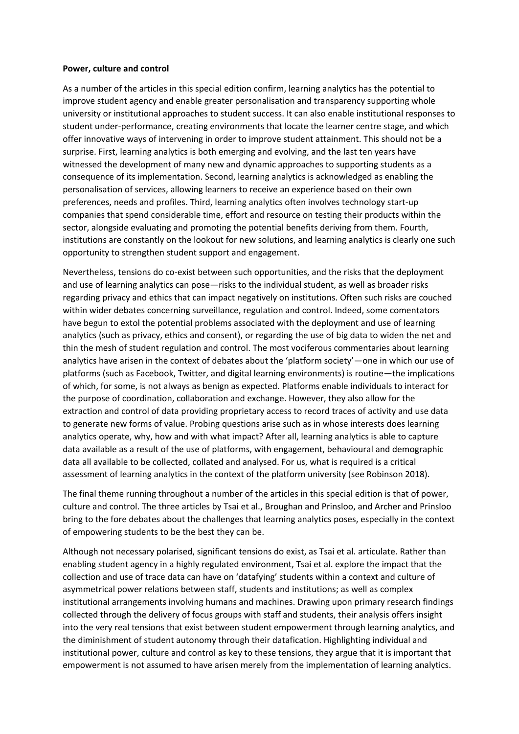#### **Power, culture and control**

As a number of the articles in this special edition confirm, learning analytics has the potential to improve student agency and enable greater personalisation and transparency supporting whole university or institutional approaches to student success. It can also enable institutional responses to student under-performance, creating environments that locate the learner centre stage, and which offer innovative ways of intervening in order to improve student attainment. This should not be a surprise. First, learning analytics is both emerging and evolving, and the last ten years have witnessed the development of many new and dynamic approaches to supporting students as a consequence of its implementation. Second, learning analytics is acknowledged as enabling the personalisation of services, allowing learners to receive an experience based on their own preferences, needs and profiles. Third, learning analytics often involves technology start-up companies that spend considerable time, effort and resource on testing their products within the sector, alongside evaluating and promoting the potential benefits deriving from them. Fourth, institutions are constantly on the lookout for new solutions, and learning analytics is clearly one such opportunity to strengthen student support and engagement.

Nevertheless, tensions do co-exist between such opportunities, and the risks that the deployment and use of learning analytics can pose—risks to the individual student, as well as broader risks regarding privacy and ethics that can impact negatively on institutions. Often such risks are couched within wider debates concerning surveillance, regulation and control. Indeed, some comentators have begun to extol the potential problems associated with the deployment and use of learning analytics (such as privacy, ethics and consent), or regarding the use of big data to widen the net and thin the mesh of student regulation and control. The most vociferous commentaries about learning analytics have arisen in the context of debates about the 'platform society'—one in which our use of platforms (such as Facebook, Twitter, and digital learning environments) is routine—the implications of which, for some, is not always as benign as expected. Platforms enable individuals to interact for the purpose of coordination, collaboration and exchange. However, they also allow for the extraction and control of data providing proprietary access to record traces of activity and use data to generate new forms of value. Probing questions arise such as in whose interests does learning analytics operate, why, how and with what impact? After all, learning analytics is able to capture data available as a result of the use of platforms, with engagement, behavioural and demographic data all available to be collected, collated and analysed. For us, what is required is a critical assessment of learning analytics in the context of the platform university (see Robinson 2018).

The final theme running throughout a number of the articles in this special edition is that of power, culture and control. The three articles by Tsai et al., Broughan and Prinsloo, and Archer and Prinsloo bring to the fore debates about the challenges that learning analytics poses, especially in the context of empowering students to be the best they can be.

Although not necessary polarised, significant tensions do exist, as Tsai et al. articulate. Rather than enabling student agency in a highly regulated environment, Tsai et al. explore the impact that the collection and use of trace data can have on 'datafying' students within a context and culture of asymmetrical power relations between staff, students and institutions; as well as complex institutional arrangements involving humans and machines. Drawing upon primary research findings collected through the delivery of focus groups with staff and students, their analysis offers insight into the very real tensions that exist between student empowerment through learning analytics, and the diminishment of student autonomy through their datafication. Highlighting individual and institutional power, culture and control as key to these tensions, they argue that it is important that empowerment is not assumed to have arisen merely from the implementation of learning analytics.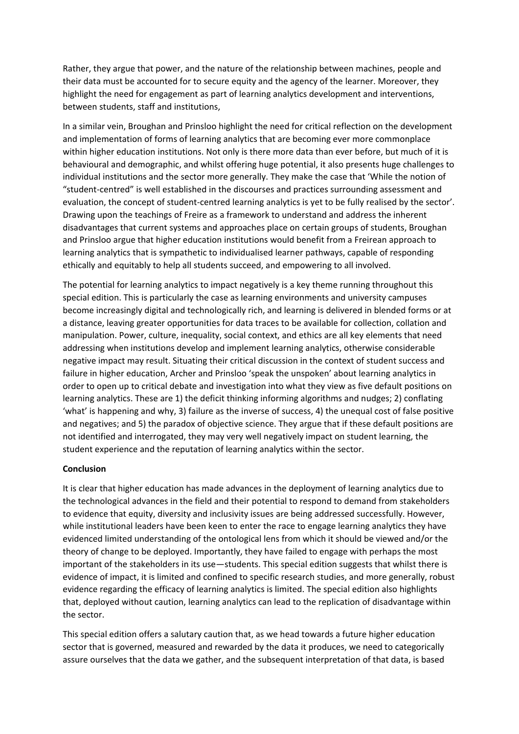Rather, they argue that power, and the nature of the relationship between machines, people and their data must be accounted for to secure equity and the agency of the learner. Moreover, they highlight the need for engagement as part of learning analytics development and interventions, between students, staff and institutions,

In a similar vein, Broughan and Prinsloo highlight the need for critical reflection on the development and implementation of forms of learning analytics that are becoming ever more commonplace within higher education institutions. Not only is there more data than ever before, but much of it is behavioural and demographic, and whilst offering huge potential, it also presents huge challenges to individual institutions and the sector more generally. They make the case that 'While the notion of "student-centred" is well established in the discourses and practices surrounding assessment and evaluation, the concept of student-centred learning analytics is yet to be fully realised by the sector'. Drawing upon the teachings of Freire as a framework to understand and address the inherent disadvantages that current systems and approaches place on certain groups of students, Broughan and Prinsloo argue that higher education institutions would benefit from a Freirean approach to learning analytics that is sympathetic to individualised learner pathways, capable of responding ethically and equitably to help all students succeed, and empowering to all involved.

The potential for learning analytics to impact negatively is a key theme running throughout this special edition. This is particularly the case as learning environments and university campuses become increasingly digital and technologically rich, and learning is delivered in blended forms or at a distance, leaving greater opportunities for data traces to be available for collection, collation and manipulation. Power, culture, inequality, social context, and ethics are all key elements that need addressing when institutions develop and implement learning analytics, otherwise considerable negative impact may result. Situating their critical discussion in the context of student success and failure in higher education, Archer and Prinsloo 'speak the unspoken' about learning analytics in order to open up to critical debate and investigation into what they view as five default positions on learning analytics. These are 1) the deficit thinking informing algorithms and nudges; 2) conflating 'what' is happening and why, 3) failure as the inverse of success, 4) the unequal cost of false positive and negatives; and 5) the paradox of objective science. They argue that if these default positions are not identified and interrogated, they may very well negatively impact on student learning, the student experience and the reputation of learning analytics within the sector.

#### **Conclusion**

It is clear that higher education has made advances in the deployment of learning analytics due to the technological advances in the field and their potential to respond to demand from stakeholders to evidence that equity, diversity and inclusivity issues are being addressed successfully. However, while institutional leaders have been keen to enter the race to engage learning analytics they have evidenced limited understanding of the ontological lens from which it should be viewed and/or the theory of change to be deployed. Importantly, they have failed to engage with perhaps the most important of the stakeholders in its use—students. This special edition suggests that whilst there is evidence of impact, it is limited and confined to specific research studies, and more generally, robust evidence regarding the efficacy of learning analytics is limited. The special edition also highlights that, deployed without caution, learning analytics can lead to the replication of disadvantage within the sector.

This special edition offers a salutary caution that, as we head towards a future higher education sector that is governed, measured and rewarded by the data it produces, we need to categorically assure ourselves that the data we gather, and the subsequent interpretation of that data, is based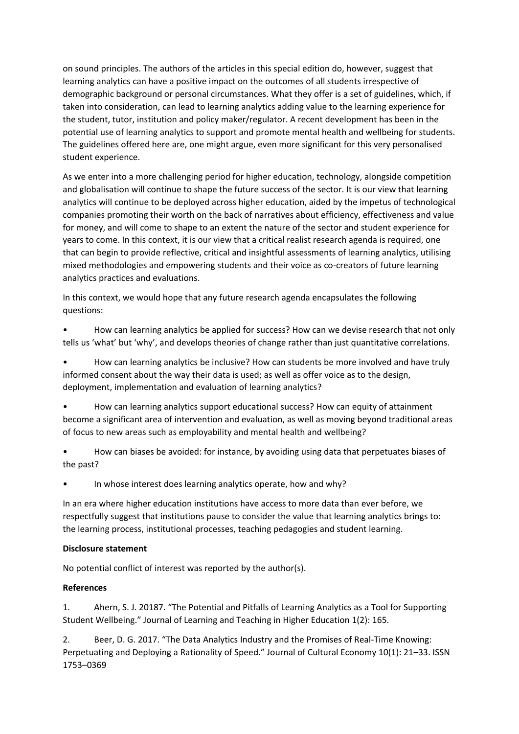on sound principles. The authors of the articles in this special edition do, however, suggest that learning analytics can have a positive impact on the outcomes of all students irrespective of demographic background or personal circumstances. What they offer is a set of guidelines, which, if taken into consideration, can lead to learning analytics adding value to the learning experience for the student, tutor, institution and policy maker/regulator. A recent development has been in the potential use of learning analytics to support and promote mental health and wellbeing for students. The guidelines offered here are, one might argue, even more significant for this very personalised student experience.

As we enter into a more challenging period for higher education, technology, alongside competition and globalisation will continue to shape the future success of the sector. It is our view that learning analytics will continue to be deployed across higher education, aided by the impetus of technological companies promoting their worth on the back of narratives about efficiency, effectiveness and value for money, and will come to shape to an extent the nature of the sector and student experience for years to come. In this context, it is our view that a critical realist research agenda is required, one that can begin to provide reflective, critical and insightful assessments of learning analytics, utilising mixed methodologies and empowering students and their voice as co-creators of future learning analytics practices and evaluations.

In this context, we would hope that any future research agenda encapsulates the following questions:

• How can learning analytics be applied for success? How can we devise research that not only tells us 'what' but 'why', and develops theories of change rather than just quantitative correlations.

• How can learning analytics be inclusive? How can students be more involved and have truly informed consent about the way their data is used; as well as offer voice as to the design, deployment, implementation and evaluation of learning analytics?

• How can learning analytics support educational success? How can equity of attainment become a significant area of intervention and evaluation, as well as moving beyond traditional areas of focus to new areas such as employability and mental health and wellbeing?

• How can biases be avoided: for instance, by avoiding using data that perpetuates biases of the past?

In whose interest does learning analytics operate, how and why?

In an era where higher education institutions have access to more data than ever before, we respectfully suggest that institutions pause to consider the value that learning analytics brings to: the learning process, institutional processes, teaching pedagogies and student learning.

# **Disclosure statement**

No potential conflict of interest was reported by the author(s).

# **References**

1. Ahern, S. J. 20187. "The Potential and Pitfalls of Learning Analytics as a Tool for Supporting Student Wellbeing." Journal of Learning and Teaching in Higher Education 1(2): 165.

2. Beer, D. G. 2017. "The Data Analytics Industry and the Promises of Real-Time Knowing: Perpetuating and Deploying a Rationality of Speed." Journal of Cultural Economy 10(1): 21–33. ISSN 1753–0369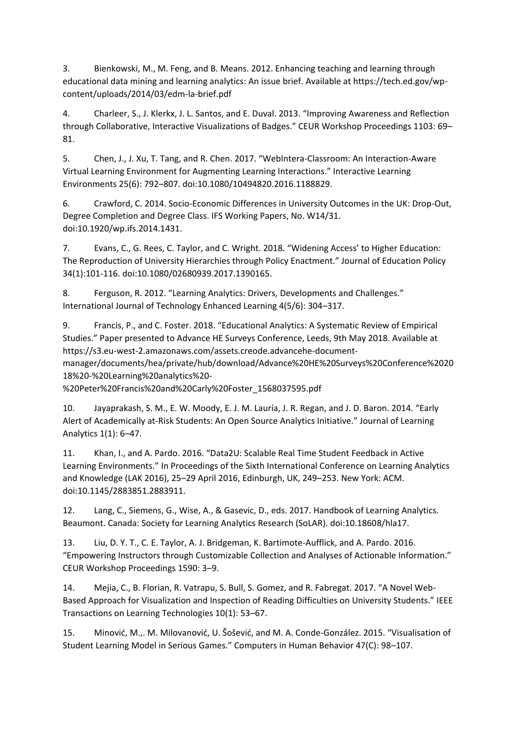3. Bienkowski, M., M. Feng, and B. Means. 2012. Enhancing teaching and learning through educational data mining and learning analytics: An issue brief. Available at https://tech.ed.gov/wpcontent/uploads/2014/03/edm-la-brief.pdf

4. Charleer, S., J. Klerkx, J. L. Santos, and E. Duval. 2013. "Improving Awareness and Reflection through Collaborative, Interactive Visualizations of Badges." CEUR Workshop Proceedings 1103: 69– 81.

5. Chen, J., J. Xu, T. Tang, and R. Chen. 2017. "WebIntera-Classroom: An Interaction-Aware Virtual Learning Environment for Augmenting Learning Interactions." Interactive Learning Environments 25(6): 792–807. doi:10.1080/10494820.2016.1188829.

6. Crawford, C. 2014. Socio-Economic Differences in University Outcomes in the UK: Drop-Out, Degree Completion and Degree Class. IFS Working Papers, No. W14/31. doi:10.1920/wp.ifs.2014.1431.

7. Evans, C., G. Rees, C. Taylor, and C. Wright. 2018. "Widening Access' to Higher Education: The Reproduction of University Hierarchies through Policy Enactment." Journal of Education Policy 34(1):101-116. doi:10.1080/02680939.2017.1390165.

8. Ferguson, R. 2012. "Learning Analytics: Drivers, Developments and Challenges." International Journal of Technology Enhanced Learning 4(5/6): 304–317.

9. Francis, P., and C. Foster. 2018. "Educational Analytics: A Systematic Review of Empirical Studies." Paper presented to Advance HE Surveys Conference, Leeds, 9th May 2018. Available at https://s3.eu-west-2.amazonaws.com/assets.creode.advancehe-documentmanager/documents/hea/private/hub/download/Advance%20HE%20Surveys%20Conference%2020 18%20-%20Learning%20analytics%20-

%20Peter%20Francis%20and%20Carly%20Foster\_1568037595.pdf

10. Jayaprakash, S. M., E. W. Moody, E. J. M. Lauría, J. R. Regan, and J. D. Baron. 2014. "Early Alert of Academically at‐Risk Students: An Open Source Analytics Initiative." Journal of Learning Analytics 1(1): 6–47.

11. Khan, I., and A. Pardo. 2016. "Data2U: Scalable Real Time Student Feedback in Active Learning Environments." In Proceedings of the Sixth International Conference on Learning Analytics and Knowledge (LAK 2016), 25–29 April 2016, Edinburgh, UK, 249–253. New York: ACM. doi:10.1145/2883851.2883911.

12. Lang, C., Siemens, G., Wise, A., & Gasevic, D., eds. 2017. Handbook of Learning Analytics. Beaumont. Canada: Society for Learning Analytics Research (SoLAR). doi:10.18608/hla17.

13. Liu, D. Y. T., C. E. Taylor, A. J. Bridgeman, K. Bartimote-Aufflick, and A. Pardo. 2016. "Empowering Instructors through Customizable Collection and Analyses of Actionable Information." CEUR Workshop Proceedings 1590: 3–9.

14. Mejia, C., B. Florian, R. Vatrapu, S. Bull, S. Gomez, and R. Fabregat. 2017. "A Novel Web-Based Approach for Visualization and Inspection of Reading Difficulties on University Students." IEEE Transactions on Learning Technologies 10(1): 53–67.

15. Minović, M.,. M. Milovanović, U. Šošević, and M. A. Conde-González. 2015. "Visualisation of Student Learning Model in Serious Games." Computers in Human Behavior 47(C): 98–107.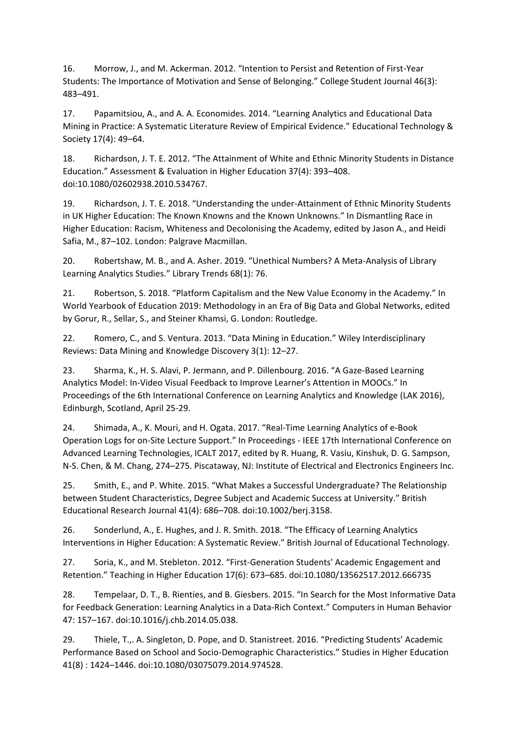16. Morrow, J., and M. Ackerman. 2012. "Intention to Persist and Retention of First-Year Students: The Importance of Motivation and Sense of Belonging." College Student Journal 46(3): 483–491.

17. Papamitsiou, A., and A. A. Economides. 2014. "Learning Analytics and Educational Data Mining in Practice: A Systematic Literature Review of Empirical Evidence." Educational Technology & Society 17(4): 49–64.

18. Richardson, J. T. E. 2012. "The Attainment of White and Ethnic Minority Students in Distance Education." Assessment & Evaluation in Higher Education 37(4): 393–408. doi:10.1080/02602938.2010.534767.

19. Richardson, J. T. E. 2018. "Understanding the under-Attainment of Ethnic Minority Students in UK Higher Education: The Known Knowns and the Known Unknowns." In Dismantling Race in Higher Education: Racism, Whiteness and Decolonising the Academy, edited by Jason A., and Heidi Safia, M., 87–102. London: Palgrave Macmillan.

20. Robertshaw, M. B., and A. Asher. 2019. "Unethical Numbers? A Meta-Analysis of Library Learning Analytics Studies." Library Trends 68(1): 76.

21. Robertson, S. 2018. "Platform Capitalism and the New Value Economy in the Academy." In World Yearbook of Education 2019: Methodology in an Era of Big Data and Global Networks, edited by Gorur, R., Sellar, S., and Steiner Khamsi, G. London: Routledge.

22. Romero, C., and S. Ventura. 2013. "Data Mining in Education." Wiley Interdisciplinary Reviews: Data Mining and Knowledge Discovery 3(1): 12–27.

23. Sharma, K., H. S. Alavi, P. Jermann, and P. Dillenbourg. 2016. "A Gaze-Based Learning Analytics Model: In-Video Visual Feedback to Improve Learner's Attention in MOOCs." In Proceedings of the 6th International Conference on Learning Analytics and Knowledge (LAK 2016), Edinburgh, Scotland, April 25-29.

24. Shimada, A., K. Mouri, and H. Ogata. 2017. "Real-Time Learning Analytics of e-Book Operation Logs for on-Site Lecture Support." In Proceedings - IEEE 17th International Conference on Advanced Learning Technologies, ICALT 2017, edited by R. Huang, R. Vasiu, Kinshuk, D. G. Sampson, N-S. Chen, & M. Chang, 274–275. Piscataway, NJ: Institute of Electrical and Electronics Engineers Inc.

25. Smith, E., and P. White. 2015. "What Makes a Successful Undergraduate? The Relationship between Student Characteristics, Degree Subject and Academic Success at University." British Educational Research Journal 41(4): 686–708. doi:10.1002/berj.3158.

26. Sonderlund, A., E. Hughes, and J. R. Smith. 2018. "The Efficacy of Learning Analytics Interventions in Higher Education: A Systematic Review." British Journal of Educational Technology.

27. Soria, K., and M. Stebleton. 2012. "First-Generation Students' Academic Engagement and Retention." Teaching in Higher Education 17(6): 673–685. doi:10.1080/13562517.2012.666735

28. Tempelaar, D. T., B. Rienties, and B. Giesbers. 2015. "In Search for the Most Informative Data for Feedback Generation: Learning Analytics in a Data-Rich Context." Computers in Human Behavior 47: 157–167. doi:10.1016/j.chb.2014.05.038.

29. Thiele, T.,. A. Singleton, D. Pope, and D. Stanistreet. 2016. "Predicting Students' Academic Performance Based on School and Socio-Demographic Characteristics." Studies in Higher Education 41(8) : 1424–1446. doi:10.1080/03075079.2014.974528.